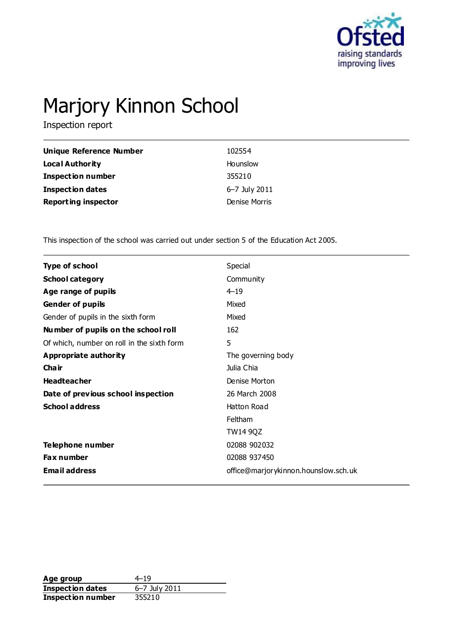

# Marjory Kinnon School

Inspection report

| Unique Reference Number    | 102554        |
|----------------------------|---------------|
| Local Authority            | Hounslow      |
| <b>Inspection number</b>   | 355210        |
| <b>Inspection dates</b>    | 6–7 July 2011 |
| <b>Reporting inspector</b> | Denise Morris |

This inspection of the school was carried out under section 5 of the Education Act 2005.

| <b>Type of school</b>                      | Special                              |
|--------------------------------------------|--------------------------------------|
| <b>School category</b>                     | Community                            |
| Age range of pupils                        | $4 - 19$                             |
| <b>Gender of pupils</b>                    | Mixed                                |
| Gender of pupils in the sixth form         | Mixed                                |
| Number of pupils on the school roll        | 162                                  |
| Of which, number on roll in the sixth form | 5                                    |
| Appropriate authority                      | The governing body                   |
| Cha ir                                     | Julia Chia                           |
| <b>Headteacher</b>                         | Denise Morton                        |
| Date of previous school inspection         | 26 March 2008                        |
| <b>School address</b>                      | Hatton Road                          |
|                                            | <b>Feltham</b>                       |
|                                            | <b>TW14 9QZ</b>                      |
| Telephone number                           | 02088 902032                         |
| Fax number                                 | 02088 937450                         |
| <b>Email address</b>                       | office@marjorykinnon.hounslow.sch.uk |
|                                            |                                      |

**Age group** 4–19<br> **Inspection dates** 6–7 July 2011 **Inspection dates Inspection number** 355210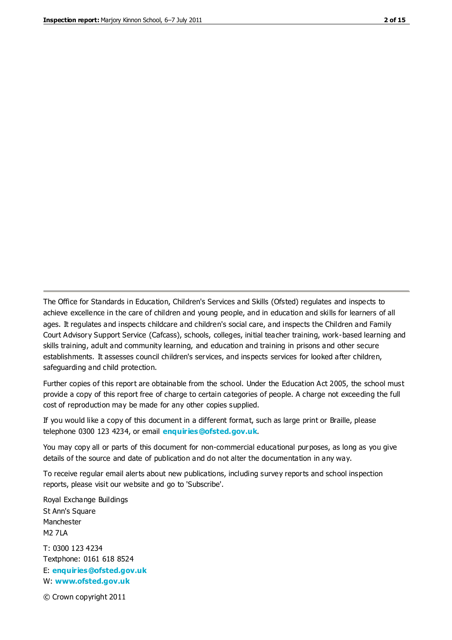The Office for Standards in Education, Children's Services and Skills (Ofsted) regulates and inspects to achieve excellence in the care of children and young people, and in education and skills for learners of all ages. It regulates and inspects childcare and children's social care, and inspects the Children and Family Court Advisory Support Service (Cafcass), schools, colleges, initial teacher training, work-based learning and skills training, adult and community learning, and education and training in prisons and other secure establishments. It assesses council children's services, and inspects services for looked after children, safeguarding and child protection.

Further copies of this report are obtainable from the school. Under the Education Act 2005, the school must provide a copy of this report free of charge to certain categories of people. A charge not exceeding the full cost of reproduction may be made for any other copies supplied.

If you would like a copy of this document in a different format, such as large print or Braille, please telephone 0300 123 4234, or email **[enquiries@ofsted.gov.uk](mailto:enquiries@ofsted.gov.uk)**.

You may copy all or parts of this document for non-commercial educational purposes, as long as you give details of the source and date of publication and do not alter the documentation in any way.

To receive regular email alerts about new publications, including survey reports and school inspection reports, please visit our website and go to 'Subscribe'.

Royal Exchange Buildings St Ann's Square Manchester M2 7LA T: 0300 123 4234 Textphone: 0161 618 8524 E: **[enquiries@ofsted.gov.uk](mailto:enquiries@ofsted.gov.uk)**

W: **[www.ofsted.gov.uk](http://www.ofsted.gov.uk/)**

© Crown copyright 2011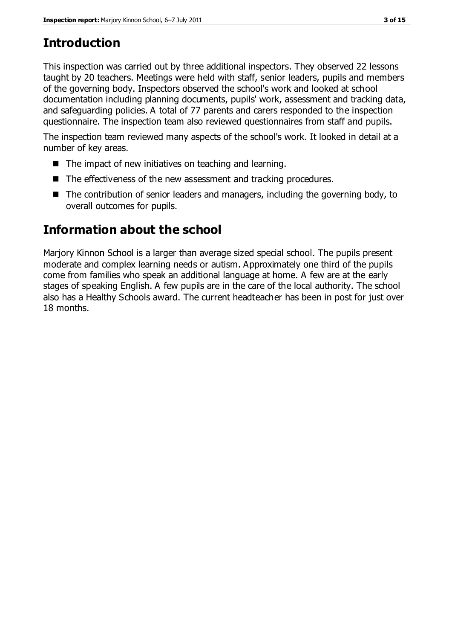# **Introduction**

This inspection was carried out by three additional inspectors. They observed 22 lessons taught by 20 teachers. Meetings were held with staff, senior leaders, pupils and members of the governing body. Inspectors observed the school's work and looked at school documentation including planning documents, pupils' work, assessment and tracking data, and safeguarding policies. A total of 77 parents and carers responded to the inspection questionnaire. The inspection team also reviewed questionnaires from staff and pupils.

The inspection team reviewed many aspects of the school's work. It looked in detail at a number of key areas.

- The impact of new initiatives on teaching and learning.
- The effectiveness of the new assessment and tracking procedures.
- $\blacksquare$  The contribution of senior leaders and managers, including the governing body, to overall outcomes for pupils.

# **Information about the school**

Marjory Kinnon School is a larger than average sized special school. The pupils present moderate and complex learning needs or autism. Approximately one third of the pupils come from families who speak an additional language at home. A few are at the early stages of speaking English. A few pupils are in the care of the local authority. The school also has a Healthy Schools award. The current headteacher has been in post for just over 18 months.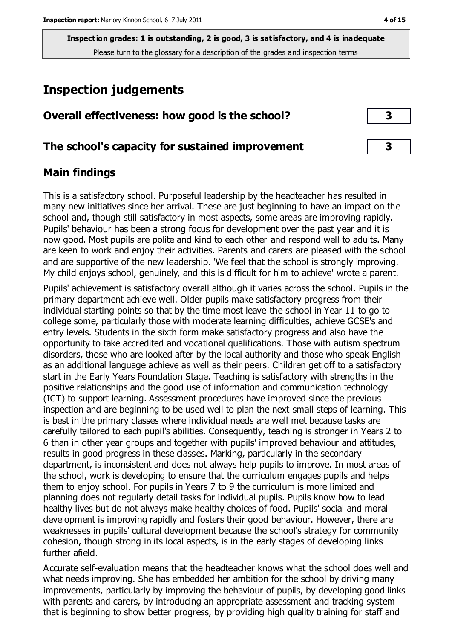# **Inspection judgements**

| Overall effectiveness: how good is the school? |  |
|------------------------------------------------|--|
|------------------------------------------------|--|

#### **The school's capacity for sustained improvement 3**

#### **Main findings**

This is a satisfactory school. Purposeful leadership by the headteacher has resulted in many new initiatives since her arrival. These are just beginning to have an impact on the school and, though still satisfactory in most aspects, some areas are improving rapidly. Pupils' behaviour has been a strong focus for development over the past year and it is now good. Most pupils are polite and kind to each other and respond well to adults. Many are keen to work and enjoy their activities. Parents and carers are pleased with the school and are supportive of the new leadership. 'We feel that the school is strongly improving. My child enjoys school, genuinely, and this is difficult for him to achieve' wrote a parent.

Pupils' achievement is satisfactory overall although it varies across the school. Pupils in the primary department achieve well. Older pupils make satisfactory progress from their individual starting points so that by the time most leave the school in Year 11 to go to college some, particularly those with moderate learning difficulties, achieve GCSE's and entry levels. Students in the sixth form make satisfactory progress and also have the opportunity to take accredited and vocational qualifications. Those with autism spectrum disorders, those who are looked after by the local authority and those who speak English as an additional language achieve as well as their peers. Children get off to a satisfactory start in the Early Years Foundation Stage. Teaching is satisfactory with strengths in the positive relationships and the good use of information and communication technology (ICT) to support learning. Assessment procedures have improved since the previous inspection and are beginning to be used well to plan the next small steps of learning. This is best in the primary classes where individual needs are well met because tasks are carefully tailored to each pupil's abilities. Consequently, teaching is stronger in Years 2 to 6 than in other year groups and together with pupils' improved behaviour and attitudes, results in good progress in these classes. Marking, particularly in the secondary department, is inconsistent and does not always help pupils to improve. In most areas of the school, work is developing to ensure that the curriculum engages pupils and helps them to enjoy school. For pupils in Years 7 to 9 the curriculum is more limited and planning does not regularly detail tasks for individual pupils. Pupils know how to lead healthy lives but do not always make healthy choices of food. Pupils' social and moral development is improving rapidly and fosters their good behaviour. However, there are weaknesses in pupils' cultural development because the school's strategy for community cohesion, though strong in its local aspects, is in the early stages of developing links further afield.

Accurate self-evaluation means that the headteacher knows what the school does well and what needs improving. She has embedded her ambition for the school by driving many improvements, particularly by improving the behaviour of pupils, by developing good links with parents and carers, by introducing an appropriate assessment and tracking system that is beginning to show better progress, by providing high quality training for staff and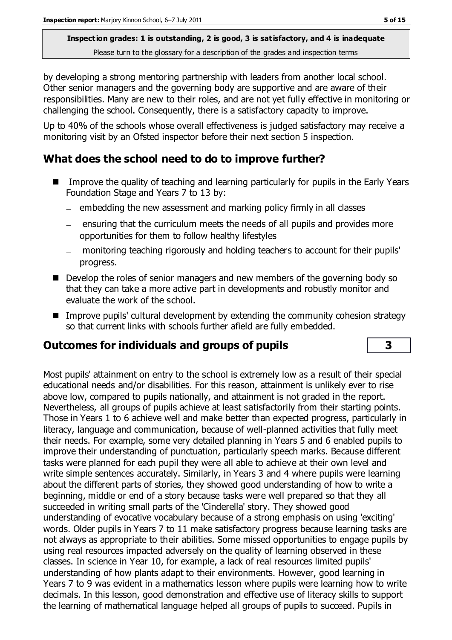by developing a strong mentoring partnership with leaders from another local school. Other senior managers and the governing body are supportive and are aware of their responsibilities. Many are new to their roles, and are not yet fully effective in monitoring or challenging the school. Consequently, there is a satisfactory capacity to improve.

Up to 40% of the schools whose overall effectiveness is judged satisfactory may receive a monitoring visit by an Ofsted inspector before their next section 5 inspection.

#### **What does the school need to do to improve further?**

- Improve the quality of teaching and learning particularly for pupils in the Early Years Foundation Stage and Years 7 to 13 by:
	- $-$  embedding the new assessment and marking policy firmly in all classes
	- ensuring that the curriculum meets the needs of all pupils and provides more opportunities for them to follow healthy lifestyles
	- monitoring teaching rigorously and holding teachers to account for their pupils' progress.
- Develop the roles of senior managers and new members of the governing body so that they can take a more active part in developments and robustly monitor and evaluate the work of the school.
- Improve pupils' cultural development by extending the community cohesion strategy so that current links with schools further afield are fully embedded.

#### **Outcomes for individuals and groups of pupils 3**

Most pupils' attainment on entry to the school is extremely low as a result of their special educational needs and/or disabilities. For this reason, attainment is unlikely ever to rise above low, compared to pupils nationally, and attainment is not graded in the report. Nevertheless, all groups of pupils achieve at least satisfactorily from their starting points. Those in Years 1 to 6 achieve well and make better than expected progress, particularly in literacy, language and communication, because of well-planned activities that fully meet their needs. For example, some very detailed planning in Years 5 and 6 enabled pupils to improve their understanding of punctuation, particularly speech marks. Because different tasks were planned for each pupil they were all able to achieve at their own level and write simple sentences accurately. Similarly, in Years 3 and 4 where pupils were learning about the different parts of stories, they showed good understanding of how to write a beginning, middle or end of a story because tasks were well prepared so that they all succeeded in writing small parts of the 'Cinderella' story. They showed good understanding of evocative vocabulary because of a strong emphasis on using 'exciting' words. Older pupils in Years 7 to 11 make satisfactory progress because learning tasks are not always as appropriate to their abilities. Some missed opportunities to engage pupils by using real resources impacted adversely on the quality of learning observed in these classes. In science in Year 10, for example, a lack of real resources limited pupils' understanding of how plants adapt to their environments. However, good learning in Years 7 to 9 was evident in a mathematics lesson where pupils were learning how to write decimals. In this lesson, good demonstration and effective use of literacy skills to support the learning of mathematical language helped all groups of pupils to succeed. Pupils in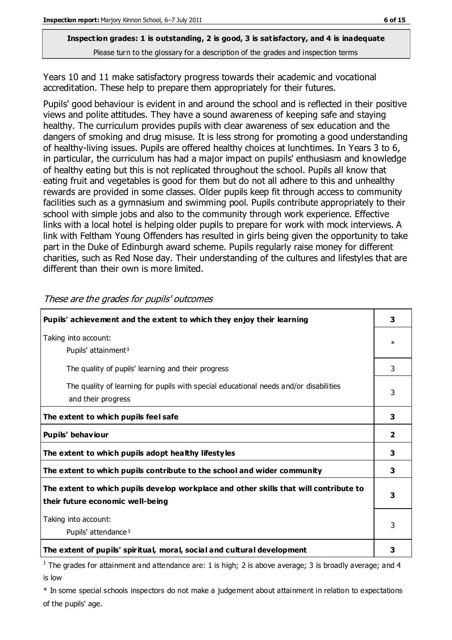Years 10 and 11 make satisfactory progress towards their academic and vocational accreditation. These help to prepare them appropriately for their futures.

Pupils' good behaviour is evident in and around the school and is reflected in their positive views and polite attitudes. They have a sound awareness of keeping safe and staying healthy. The curriculum provides pupils with clear awareness of sex education and the dangers of smoking and drug misuse. It is less strong for promoting a good understanding of healthy-living issues. Pupils are offered healthy choices at lunchtimes. In Years 3 to 6, in particular, the curriculum has had a major impact on pupils' enthusiasm and knowledge of healthy eating but this is not replicated throughout the school. Pupils all know that eating fruit and vegetables is good for them but do not all adhere to this and unhealthy rewards are provided in some classes. Older pupils keep fit through access to community facilities such as a gymnasium and swimming pool. Pupils contribute appropriately to their school with simple jobs and also to the community through work experience. Effective links with a local hotel is helping older pupils to prepare for work with mock interviews. A link with Feltham Young Offenders has resulted in girls being given the opportunity to take part in the Duke of Edinburgh award scheme. Pupils regularly raise money for different charities, such as Red Nose day. Their understanding of the cultures and lifestyles that are different than their own is more limited.

| Pupils' achievement and the extent to which they enjoy their learning                                                     | 3                       |
|---------------------------------------------------------------------------------------------------------------------------|-------------------------|
| Taking into account:<br>Pupils' attainment <sup>1</sup>                                                                   | $\ast$                  |
| The quality of pupils' learning and their progress                                                                        | 3                       |
| The quality of learning for pupils with special educational needs and/or disabilities<br>and their progress               | 3                       |
| The extent to which pupils feel safe                                                                                      | 3                       |
| Pupils' behaviour                                                                                                         | $\overline{\mathbf{2}}$ |
| The extent to which pupils adopt healthy lifestyles                                                                       | 3                       |
| The extent to which pupils contribute to the school and wider community                                                   | 3                       |
| The extent to which pupils develop workplace and other skills that will contribute to<br>their future economic well-being | 3                       |
| Taking into account:<br>Pupils' attendance <sup>1</sup>                                                                   | 3                       |
| The extent of pupils' spiritual, moral, social and cultural development                                                   | з                       |

These are the grades for pupils' outcomes

<sup>1</sup> The grades for attainment and attendance are: 1 is high; 2 is above average; 3 is broadly average; and 4 is low

\* In some special schools inspectors do not make a judgement about attainment in relation to expectations of the pupils' age.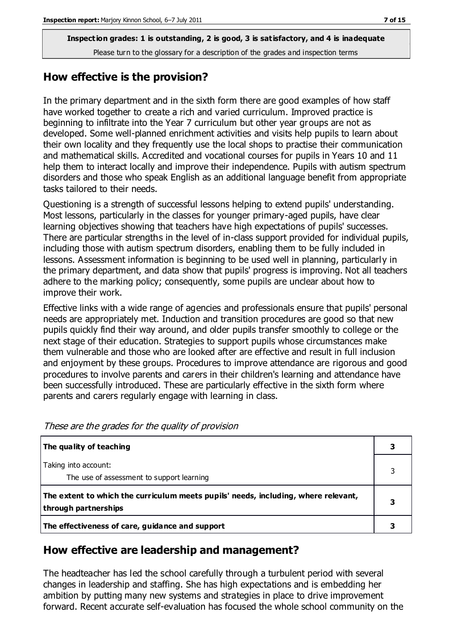#### **How effective is the provision?**

In the primary department and in the sixth form there are good examples of how staff have worked together to create a rich and varied curriculum. Improved practice is beginning to infiltrate into the Year 7 curriculum but other year groups are not as developed. Some well-planned enrichment activities and visits help pupils to learn about their own locality and they frequently use the local shops to practise their communication and mathematical skills. Accredited and vocational courses for pupils in Years 10 and 11 help them to interact locally and improve their independence. Pupils with autism spectrum disorders and those who speak English as an additional language benefit from appropriate tasks tailored to their needs.

Questioning is a strength of successful lessons helping to extend pupils' understanding. Most lessons, particularly in the classes for younger primary-aged pupils, have clear learning objectives showing that teachers have high expectations of pupils' successes. There are particular strengths in the level of in-class support provided for individual pupils, including those with autism spectrum disorders, enabling them to be fully included in lessons. Assessment information is beginning to be used well in planning, particularly in the primary department, and data show that pupils' progress is improving. Not all teachers adhere to the marking policy; consequently, some pupils are unclear about how to improve their work.

Effective links with a wide range of agencies and professionals ensure that pupils' personal needs are appropriately met. Induction and transition procedures are good so that new pupils quickly find their way around, and older pupils transfer smoothly to college or the next stage of their education. Strategies to support pupils whose circumstances make them vulnerable and those who are looked after are effective and result in full inclusion and enjoyment by these groups. Procedures to improve attendance are rigorous and good procedures to involve parents and carers in their children's learning and attendance have been successfully introduced. These are particularly effective in the sixth form where parents and carers regularly engage with learning in class.

| The quality of teaching                                                                                    |  |
|------------------------------------------------------------------------------------------------------------|--|
| Taking into account:<br>The use of assessment to support learning                                          |  |
| The extent to which the curriculum meets pupils' needs, including, where relevant,<br>through partnerships |  |
| The effectiveness of care, guidance and support                                                            |  |

These are the grades for the quality of provision

#### **How effective are leadership and management?**

The headteacher has led the school carefully through a turbulent period with several changes in leadership and staffing. She has high expectations and is embedding her ambition by putting many new systems and strategies in place to drive improvement forward. Recent accurate self-evaluation has focused the whole school community on the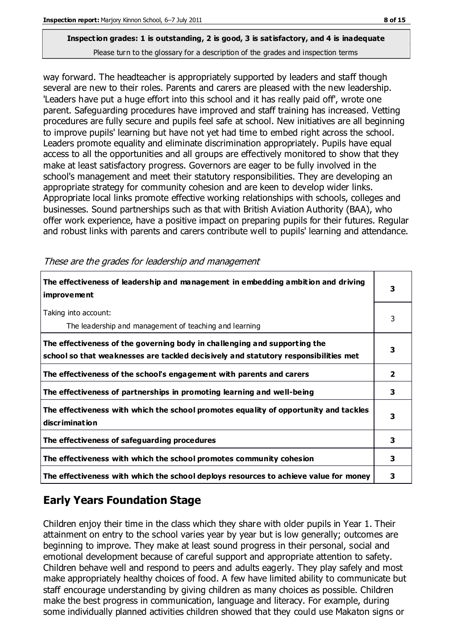# **Inspection grades: 1 is outstanding, 2 is good, 3 is satisfactory, and 4 is inadequate**

Please turn to the glossary for a description of the grades and inspection terms

way forward. The headteacher is appropriately supported by leaders and staff though several are new to their roles. Parents and carers are pleased with the new leadership. 'Leaders have put a huge effort into this school and it has really paid off', wrote one parent. Safeguarding procedures have improved and staff training has increased. Vetting procedures are fully secure and pupils feel safe at school. New initiatives are all beginning to improve pupils' learning but have not yet had time to embed right across the school. Leaders promote equality and eliminate discrimination appropriately. Pupils have equal access to all the opportunities and all groups are effectively monitored to show that they make at least satisfactory progress. Governors are eager to be fully involved in the school's management and meet their statutory responsibilities. They are developing an appropriate strategy for community cohesion and are keen to develop wider links. Appropriate local links promote effective working relationships with schools, colleges and businesses. Sound partnerships such as that with British Aviation Authority (BAA), who offer work experience, have a positive impact on preparing pupils for their futures. Regular and robust links with parents and carers contribute well to pupils' learning and attendance.

| The effectiveness of leadership and management in embedding ambition and driving<br><i>improvement</i>                                                           | 3            |
|------------------------------------------------------------------------------------------------------------------------------------------------------------------|--------------|
| Taking into account:<br>The leadership and management of teaching and learning                                                                                   | 3            |
| The effectiveness of the governing body in challenging and supporting the<br>school so that weaknesses are tackled decisively and statutory responsibilities met | 3            |
| The effectiveness of the school's engagement with parents and carers                                                                                             | $\mathbf{2}$ |
| The effectiveness of partnerships in promoting learning and well-being                                                                                           | 3            |
| The effectiveness with which the school promotes equality of opportunity and tackles<br>discrimination                                                           | 3            |
| The effectiveness of safeguarding procedures                                                                                                                     | 3            |
| The effectiveness with which the school promotes community cohesion                                                                                              | 3            |
| The effectiveness with which the school deploys resources to achieve value for money                                                                             | 3            |

These are the grades for leadership and management

## **Early Years Foundation Stage**

Children enjoy their time in the class which they share with older pupils in Year 1. Their attainment on entry to the school varies year by year but is low generally; outcomes are beginning to improve. They make at least sound progress in their personal, social and emotional development because of careful support and appropriate attention to safety. Children behave well and respond to peers and adults eagerly. They play safely and most make appropriately healthy choices of food. A few have limited ability to communicate but staff encourage understanding by giving children as many choices as possible. Children make the best progress in communication, language and literacy. For example, during some individually planned activities children showed that they could use Makaton signs or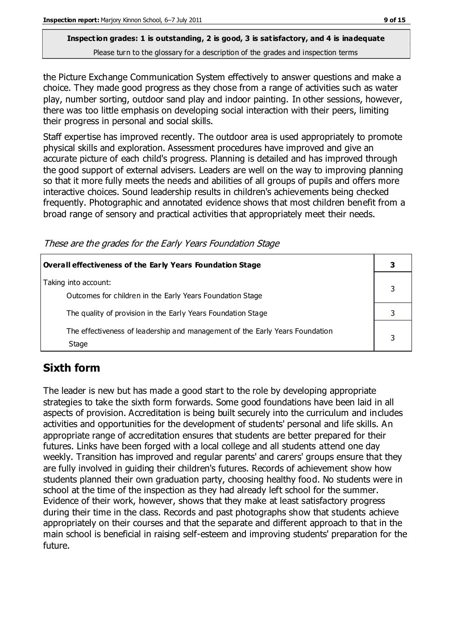the Picture Exchange Communication System effectively to answer questions and make a choice. They made good progress as they chose from a range of activities such as water play, number sorting, outdoor sand play and indoor painting. In other sessions, however, there was too little emphasis on developing social interaction with their peers, limiting their progress in personal and social skills.

Staff expertise has improved recently. The outdoor area is used appropriately to promote physical skills and exploration. Assessment procedures have improved and give an accurate picture of each child's progress. Planning is detailed and has improved through the good support of external advisers. Leaders are well on the way to improving planning so that it more fully meets the needs and abilities of all groups of pupils and offers more interactive choices. Sound leadership results in children's achievements being checked frequently. Photographic and annotated evidence shows that most children benefit from a broad range of sensory and practical activities that appropriately meet their needs.

These are the grades for the Early Years Foundation Stage

| Overall effectiveness of the Early Years Foundation Stage                             |  |
|---------------------------------------------------------------------------------------|--|
| Taking into account:<br>Outcomes for children in the Early Years Foundation Stage     |  |
| The quality of provision in the Early Years Foundation Stage                          |  |
| The effectiveness of leadership and management of the Early Years Foundation<br>Stage |  |

## **Sixth form**

The leader is new but has made a good start to the role by developing appropriate strategies to take the sixth form forwards. Some good foundations have been laid in all aspects of provision. Accreditation is being built securely into the curriculum and includes activities and opportunities for the development of students' personal and life skills. An appropriate range of accreditation ensures that students are better prepared for their futures. Links have been forged with a local college and all students attend one day weekly. Transition has improved and regular parents' and carers' groups ensure that they are fully involved in guiding their children's futures. Records of achievement show how students planned their own graduation party, choosing healthy food. No students were in school at the time of the inspection as they had already left school for the summer. Evidence of their work, however, shows that they make at least satisfactory progress during their time in the class. Records and past photographs show that students achieve appropriately on their courses and that the separate and different approach to that in the main school is beneficial in raising self-esteem and improving students' preparation for the future.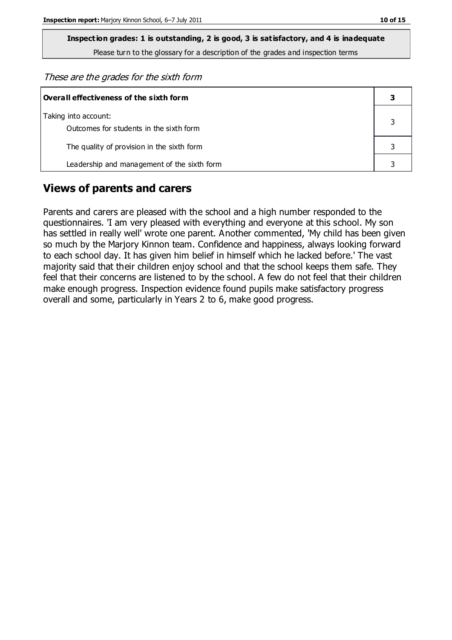**Inspection grades: 1 is outstanding, 2 is good, 3 is satisfactory, and 4 is inadequate**

Please turn to the glossary for a description of the grades and inspection terms

These are the grades for the sixth form

| Overall effectiveness of the sixth form                         |  |  |
|-----------------------------------------------------------------|--|--|
| Taking into account:<br>Outcomes for students in the sixth form |  |  |
| The quality of provision in the sixth form                      |  |  |
| Leadership and management of the sixth form                     |  |  |

#### **Views of parents and carers**

Parents and carers are pleased with the school and a high number responded to the questionnaires. 'I am very pleased with everything and everyone at this school. My son has settled in really well' wrote one parent. Another commented, 'My child has been given so much by the Marjory Kinnon team. Confidence and happiness, always looking forward to each school day. It has given him belief in himself which he lacked before.' The vast majority said that their children enjoy school and that the school keeps them safe. They feel that their concerns are listened to by the school. A few do not feel that their children make enough progress. Inspection evidence found pupils make satisfactory progress overall and some, particularly in Years 2 to 6, make good progress.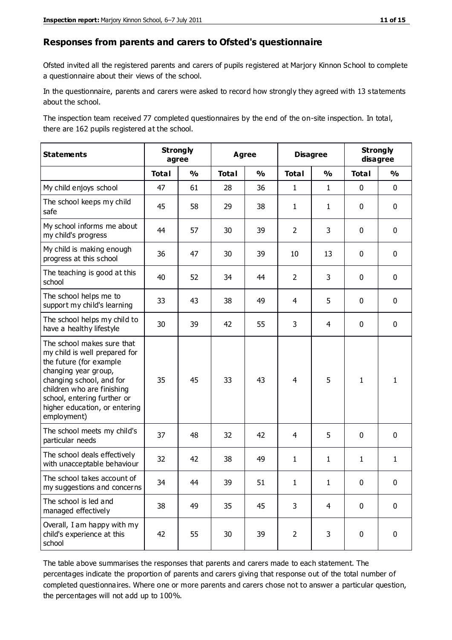#### **Responses from parents and carers to Ofsted's questionnaire**

Ofsted invited all the registered parents and carers of pupils registered at Marjory Kinnon School to complete a questionnaire about their views of the school.

In the questionnaire, parents and carers were asked to record how strongly they agreed with 13 statements about the school.

The inspection team received 77 completed questionnaires by the end of the on-site inspection. In total, there are 162 pupils registered at the school.

| <b>Statements</b>                                                                                                                                                                                                                                       | <b>Strongly</b><br>agree |               | <b>Agree</b> |                         | <b>Disagree</b> |                | <b>Strongly</b><br>disagree |               |
|---------------------------------------------------------------------------------------------------------------------------------------------------------------------------------------------------------------------------------------------------------|--------------------------|---------------|--------------|-------------------------|-----------------|----------------|-----------------------------|---------------|
|                                                                                                                                                                                                                                                         | <b>Total</b>             | $\frac{1}{2}$ | <b>Total</b> | $\mathbf{O}/\mathbf{o}$ | <b>Total</b>    | $\frac{1}{2}$  | <b>Total</b>                | $\frac{1}{2}$ |
| My child enjoys school                                                                                                                                                                                                                                  | 47                       | 61            | 28           | 36                      | $\mathbf{1}$    | $\mathbf{1}$   | $\mathbf 0$                 | $\mathbf 0$   |
| The school keeps my child<br>safe                                                                                                                                                                                                                       | 45                       | 58            | 29           | 38                      | $\mathbf{1}$    | $\mathbf{1}$   | $\mathbf 0$                 | $\mathbf 0$   |
| My school informs me about<br>my child's progress                                                                                                                                                                                                       | 44                       | 57            | 30           | 39                      | $\overline{2}$  | 3              | $\mathbf 0$                 | $\mathbf 0$   |
| My child is making enough<br>progress at this school                                                                                                                                                                                                    | 36                       | 47            | 30           | 39                      | 10              | 13             | $\mathbf 0$                 | $\pmb{0}$     |
| The teaching is good at this<br>school                                                                                                                                                                                                                  | 40                       | 52            | 34           | 44                      | $\overline{2}$  | 3              | $\mathbf 0$                 | $\mathbf 0$   |
| The school helps me to<br>support my child's learning                                                                                                                                                                                                   | 33                       | 43            | 38           | 49                      | 4               | 5              | 0                           | $\mathbf 0$   |
| The school helps my child to<br>have a healthy lifestyle                                                                                                                                                                                                | 30                       | 39            | 42           | 55                      | 3               | 4              | $\mathbf 0$                 | $\mathbf 0$   |
| The school makes sure that<br>my child is well prepared for<br>the future (for example<br>changing year group,<br>changing school, and for<br>children who are finishing<br>school, entering further or<br>higher education, or entering<br>employment) | 35                       | 45            | 33           | 43                      | 4               | 5              | $\mathbf{1}$                | 1             |
| The school meets my child's<br>particular needs                                                                                                                                                                                                         | 37                       | 48            | 32           | 42                      | $\overline{4}$  | 5              | $\mathbf 0$                 | $\mathbf 0$   |
| The school deals effectively<br>with unacceptable behaviour                                                                                                                                                                                             | 32                       | 42            | 38           | 49                      | $\mathbf{1}$    | $\mathbf{1}$   | $\mathbf{1}$                | $\mathbf{1}$  |
| The school takes account of<br>my suggestions and concerns                                                                                                                                                                                              | 34                       | 44            | 39           | 51                      | 1               | 1              | $\Omega$                    | $\Omega$      |
| The school is led and<br>managed effectively                                                                                                                                                                                                            | 38                       | 49            | 35           | 45                      | 3               | $\overline{4}$ | $\mathbf 0$                 | $\mathbf 0$   |
| Overall, I am happy with my<br>child's experience at this<br>school                                                                                                                                                                                     | 42                       | 55            | 30           | 39                      | $\overline{2}$  | 3              | $\mathbf 0$                 | $\mathbf 0$   |

The table above summarises the responses that parents and carers made to each statement. The percentages indicate the proportion of parents and carers giving that response out of the total number of completed questionnaires. Where one or more parents and carers chose not to answer a particular question, the percentages will not add up to 100%.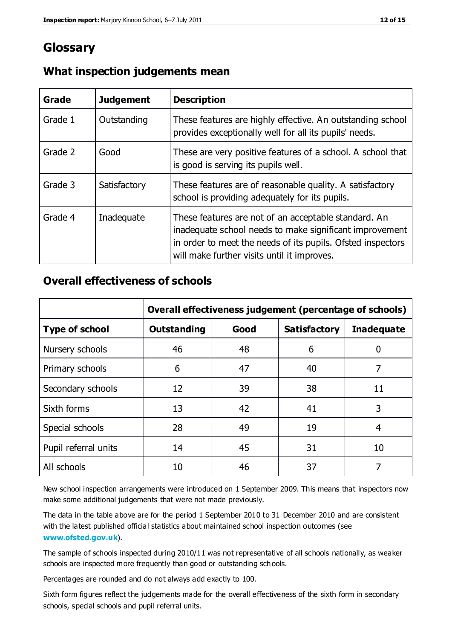# **Glossary**

| Grade   | <b>Judgement</b> | <b>Description</b>                                                                                                                                                                                                            |
|---------|------------------|-------------------------------------------------------------------------------------------------------------------------------------------------------------------------------------------------------------------------------|
| Grade 1 | Outstanding      | These features are highly effective. An outstanding school<br>provides exceptionally well for all its pupils' needs.                                                                                                          |
| Grade 2 | Good             | These are very positive features of a school. A school that<br>is good is serving its pupils well.                                                                                                                            |
| Grade 3 | Satisfactory     | These features are of reasonable quality. A satisfactory<br>school is providing adequately for its pupils.                                                                                                                    |
| Grade 4 | Inadequate       | These features are not of an acceptable standard. An<br>inadequate school needs to make significant improvement<br>in order to meet the needs of its pupils. Ofsted inspectors<br>will make further visits until it improves. |

#### **What inspection judgements mean**

#### **Overall effectiveness of schools**

|                       | Overall effectiveness judgement (percentage of schools) |      |                     |                   |
|-----------------------|---------------------------------------------------------|------|---------------------|-------------------|
| <b>Type of school</b> | <b>Outstanding</b>                                      | Good | <b>Satisfactory</b> | <b>Inadequate</b> |
| Nursery schools       | 46                                                      | 48   | 6                   |                   |
| Primary schools       | 6                                                       | 47   | 40                  | 7                 |
| Secondary schools     | 12                                                      | 39   | 38                  | 11                |
| Sixth forms           | 13                                                      | 42   | 41                  | 3                 |
| Special schools       | 28                                                      | 49   | 19                  | 4                 |
| Pupil referral units  | 14                                                      | 45   | 31                  | 10                |
| All schools           | 10                                                      | 46   | 37                  |                   |

New school inspection arrangements were introduced on 1 September 2009. This means that inspectors now make some additional judgements that were not made previously.

The data in the table above are for the period 1 September 2010 to 31 December 2010 and are consistent with the latest published official statistics about maintained school inspection outcomes (see **[www.ofsted.gov.uk](http://www.ofsted.gov.uk/)**).

The sample of schools inspected during 2010/11 was not representative of all schools nationally, as weaker schools are inspected more frequently than good or outstanding schools.

Percentages are rounded and do not always add exactly to 100.

Sixth form figures reflect the judgements made for the overall effectiveness of the sixth form in secondary schools, special schools and pupil referral units.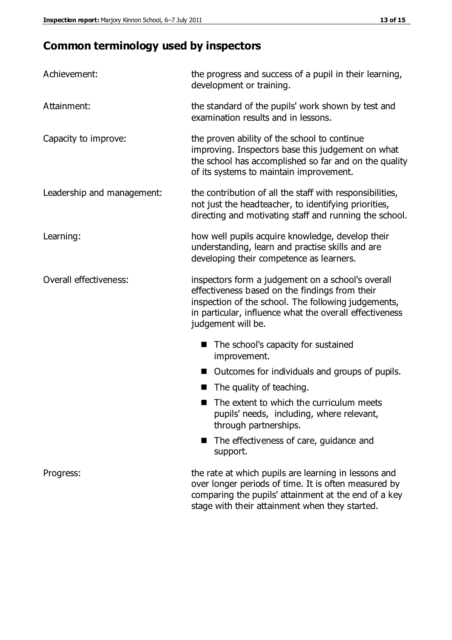# **Common terminology used by inspectors**

| Achievement:               | the progress and success of a pupil in their learning,<br>development or training.                                                                                                                                                          |  |  |
|----------------------------|---------------------------------------------------------------------------------------------------------------------------------------------------------------------------------------------------------------------------------------------|--|--|
| Attainment:                | the standard of the pupils' work shown by test and<br>examination results and in lessons.                                                                                                                                                   |  |  |
| Capacity to improve:       | the proven ability of the school to continue<br>improving. Inspectors base this judgement on what<br>the school has accomplished so far and on the quality<br>of its systems to maintain improvement.                                       |  |  |
| Leadership and management: | the contribution of all the staff with responsibilities,<br>not just the headteacher, to identifying priorities,<br>directing and motivating staff and running the school.                                                                  |  |  |
| Learning:                  | how well pupils acquire knowledge, develop their<br>understanding, learn and practise skills and are<br>developing their competence as learners.                                                                                            |  |  |
| Overall effectiveness:     | inspectors form a judgement on a school's overall<br>effectiveness based on the findings from their<br>inspection of the school. The following judgements,<br>in particular, influence what the overall effectiveness<br>judgement will be. |  |  |
|                            | The school's capacity for sustained<br>improvement.                                                                                                                                                                                         |  |  |
|                            | Outcomes for individuals and groups of pupils.                                                                                                                                                                                              |  |  |
|                            | The quality of teaching.                                                                                                                                                                                                                    |  |  |
|                            | The extent to which the curriculum meets<br>pupils' needs, including, where relevant,<br>through partnerships.                                                                                                                              |  |  |
|                            | The effectiveness of care, guidance and<br>support.                                                                                                                                                                                         |  |  |
| Progress:                  | the rate at which pupils are learning in lessons and<br>over longer periods of time. It is often measured by<br>comparing the pupils' attainment at the end of a key                                                                        |  |  |

stage with their attainment when they started.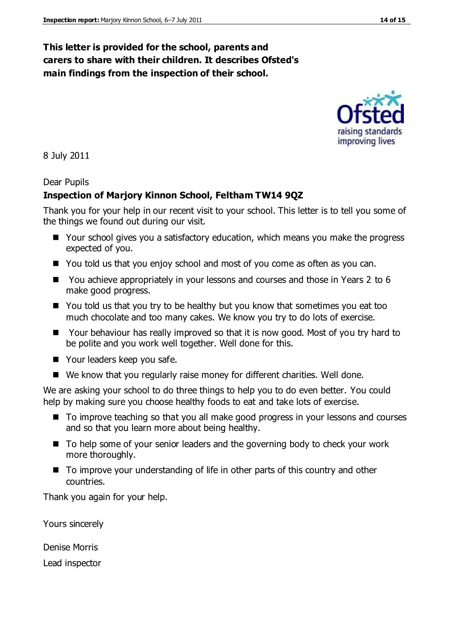#### **This letter is provided for the school, parents and carers to share with their children. It describes Ofsted's main findings from the inspection of their school.**

8 July 2011

#### Dear Pupils

#### **Inspection of Marjory Kinnon School, Feltham TW14 9QZ**

Thank you for your help in our recent visit to your school. This letter is to tell you some of the things we found out during our visit.

- Your school gives you a satisfactory education, which means you make the progress expected of you.
- You told us that you enjoy school and most of you come as often as you can.
- You achieve appropriately in your lessons and courses and those in Years 2 to 6 make good progress.
- You told us that you try to be healthy but you know that sometimes you eat too much chocolate and too many cakes. We know you try to do lots of exercise.
- Your behaviour has really improved so that it is now good. Most of you try hard to be polite and you work well together. Well done for this.
- Your leaders keep you safe.
- We know that you regularly raise money for different charities. Well done.

We are asking your school to do three things to help you to do even better. You could help by making sure you choose healthy foods to eat and take lots of exercise.

- To improve teaching so that you all make good progress in your lessons and courses and so that you learn more about being healthy.
- To help some of your senior leaders and the governing body to check your work more thoroughly.
- To improve your understanding of life in other parts of this country and other countries.

Thank you again for your help.

Yours sincerely

Denise Morris

Lead inspector